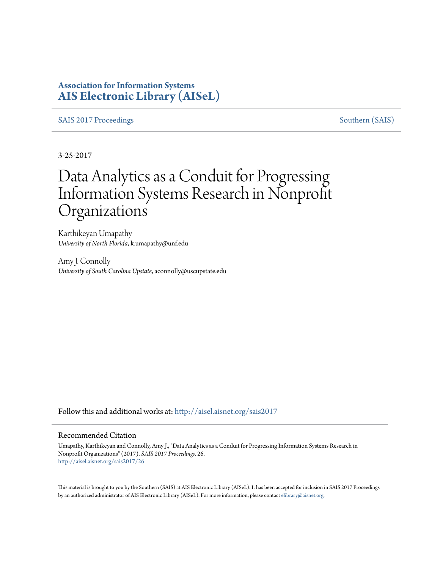### **Association for Information Systems [AIS Electronic Library \(AISeL\)](http://aisel.aisnet.org?utm_source=aisel.aisnet.org%2Fsais2017%2F26&utm_medium=PDF&utm_campaign=PDFCoverPages)**

[SAIS 2017 Proceedings](http://aisel.aisnet.org/sais2017?utm_source=aisel.aisnet.org%2Fsais2017%2F26&utm_medium=PDF&utm_campaign=PDFCoverPages) [Southern \(SAIS\)](http://aisel.aisnet.org/sais?utm_source=aisel.aisnet.org%2Fsais2017%2F26&utm_medium=PDF&utm_campaign=PDFCoverPages)

3-25-2017

# Data Analytics as a Conduit for Progressing Information Systems Research in Nonprofit **Organizations**

Karthikeyan Umapathy *University of North Florida*, k.umapathy@unf.edu

Amy J. Connolly *University of South Carolina Upstate*, aconnolly@uscupstate.edu

Follow this and additional works at: [http://aisel.aisnet.org/sais2017](http://aisel.aisnet.org/sais2017?utm_source=aisel.aisnet.org%2Fsais2017%2F26&utm_medium=PDF&utm_campaign=PDFCoverPages)

#### Recommended Citation

Umapathy, Karthikeyan and Connolly, Amy J., "Data Analytics as a Conduit for Progressing Information Systems Research in Nonprofit Organizations" (2017). *SAIS 2017 Proceedings*. 26. [http://aisel.aisnet.org/sais2017/26](http://aisel.aisnet.org/sais2017/26?utm_source=aisel.aisnet.org%2Fsais2017%2F26&utm_medium=PDF&utm_campaign=PDFCoverPages)

This material is brought to you by the Southern (SAIS) at AIS Electronic Library (AISeL). It has been accepted for inclusion in SAIS 2017 Proceedings by an authorized administrator of AIS Electronic Library (AISeL). For more information, please contact [elibrary@aisnet.org](mailto:elibrary@aisnet.org%3E).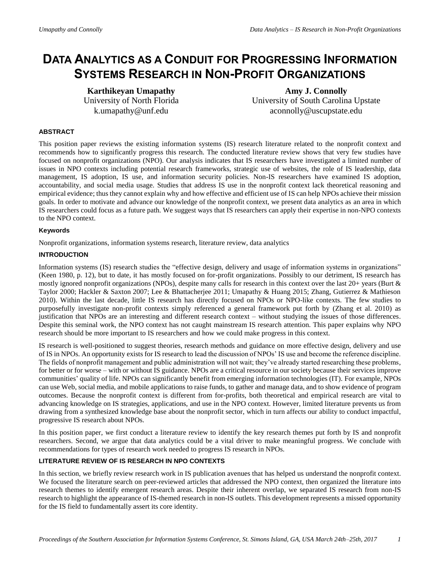## **DATA ANALYTICS AS A CONDUIT FOR PROGRESSING INFORMATION SYSTEMS RESEARCH IN NON-PROFIT ORGANIZATIONS**

**Karthikeyan Umapathy** University of North Florida k.umapathy@unf.edu

**Amy J. Connolly** University of South Carolina Upstate aconnolly@uscupstate.edu

#### **ABSTRACT**

This position paper reviews the existing information systems (IS) research literature related to the nonprofit context and recommends how to significantly progress this research. The conducted literature review shows that very few studies have focused on nonprofit organizations (NPO). Our analysis indicates that IS researchers have investigated a limited number of issues in NPO contexts including potential research frameworks, strategic use of websites, the role of IS leadership, data management, IS adoption, IS use, and information security policies. Non-IS researchers have examined IS adoption, accountability, and social media usage. Studies that address IS use in the nonprofit context lack theoretical reasoning and empirical evidence; thus they cannot explain why and how effective and efficient use of IS can help NPOs achieve their mission goals. In order to motivate and advance our knowledge of the nonprofit context, we present data analytics as an area in which IS researchers could focus as a future path. We suggest ways that IS researchers can apply their expertise in non-NPO contexts to the NPO context.

#### **Keywords**

Nonprofit organizations, information systems research, literature review, data analytics

#### **INTRODUCTION**

Information systems (IS) research studies the "effective design, delivery and usage of information systems in organizations" [\(Keen 1980, p. 12\)](#page-6-0), but to date, it has mostly focused on for-profit organizations. Possibly to our detriment, IS research has mostly ignored nonprofit organizations (NPOs), despite many calls for research in this context over the last 20+ years (Burt & Taylor 2000; Hackler & Saxton 2007; Lee & Bhattacherjee 2011; Umapathy & Huang 2015; Zhang, Gutierrez & Mathieson 2010). Within the last decade, little IS research has directly focused on NPOs or NPO-like contexts. The few studies to purposefully investigate non-profit contexts simply referenced a general framework put forth by [\(Zhang et al. 2010\)](#page-6-1) as justification that NPOs are an interesting and different research context – without studying the issues of those differences. Despite this seminal work, the NPO context has not caught mainstream IS research attention. This paper explains why NPO research should be more important to IS researchers and how we could make progress in this context.

IS research is well-positioned to suggest theories, research methods and guidance on more effective design, delivery and use of IS in NPOs. An opportunity exists for IS research to lead the discussion of NPOs' IS use and become the reference discipline. The fields of nonprofit management and public administration will not wait; they've already started researching these problems, for better or for worse – with or without IS guidance. NPOs are a critical resource in our society because their services improve communities' quality of life. NPOs can significantly benefit from emerging information technologies (IT). For example, NPOs can use Web, social media, and mobile applications to raise funds, to gather and manage data, and to show evidence of program outcomes. Because the nonprofit context is different from for-profits, both theoretical and empirical research are vital to advancing knowledge on IS strategies, applications, and use in the NPO context. However, limited literature prevents us from drawing from a synthesized knowledge base about the nonprofit sector, which in turn affects our ability to conduct impactful, progressive IS research about NPOs.

In this position paper, we first conduct a literature review to identify the key research themes put forth by IS and nonprofit researchers. Second, we argue that data analytics could be a vital driver to make meaningful progress. We conclude with recommendations for types of research work needed to progress IS research in NPOs.

#### **LITERATURE REVIEW OF IS RESEARCH IN NPO CONTEXTS**

In this section, we briefly review research work in IS publication avenues that has helped us understand the nonprofit context. We focused the literature search on peer-reviewed articles that addressed the NPO context, then organized the literature into research themes to identify emergent research areas. Despite their inherent overlap, we separated IS research from non-IS research to highlight the appearance of IS-themed research in non-IS outlets. This development represents a missed opportunity for the IS field to fundamentally assert its core identity.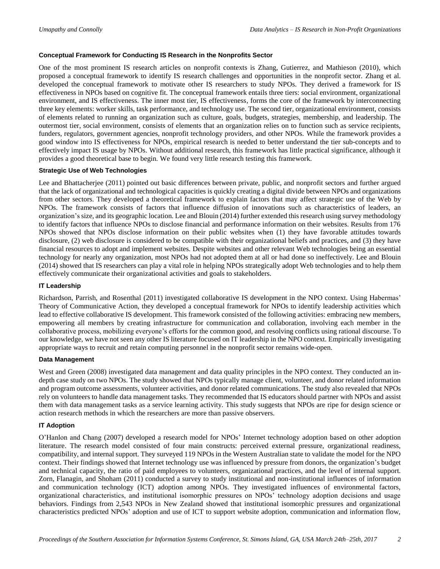#### **Conceptual Framework for Conducting IS Research in the Nonprofits Sector**

One of the most prominent IS research articles on nonprofit contexts is Zhang, Gutierrez, and Mathieson [\(2010\)](#page-6-1), which proposed a conceptual framework to identify IS research challenges and opportunities in the nonprofit sector. Zhang et al. developed the conceptual framework to motivate other IS researchers to study NPOs. They derived a framework for IS effectiveness in NPOs based on cognitive fit. The conceptual framework entails three tiers: social environment, organizational environment, and IS effectiveness. The inner most tier, IS effectiveness, forms the core of the framework by interconnecting three key elements: worker skills, task performance, and technology use. The second tier, organizational environment, consists of elements related to running an organization such as culture, goals, budgets, strategies, membership, and leadership. The outermost tier, social environment, consists of elements that an organization relies on to function such as service recipients, funders, regulators, government agencies, nonprofit technology providers, and other NPOs. While the framework provides a good window into IS effectiveness for NPOs, empirical research is needed to better understand the tier sub-concepts and to effectively impact IS usage by NPOs. Without additional research, this framework has little practical significance, although it provides a good theoretical base to begin. We found very little research testing this framework.

#### **Strategic Use of Web Technologies**

Lee and Bhattacherjee [\(2011\)](#page-6-2) pointed out basic differences between private, public, and nonprofit sectors and further argued that the lack of organizational and technological capacities is quickly creating a digital divide between NPOs and organizations from other sectors. They developed a theoretical framework to explain factors that may affect strategic use of the Web by NPOs. The framework consists of factors that influence diffusion of innovations such as characteristics of leaders, an organization's size, and its geographic location. Lee and Blouin [\(2014\)](#page-6-3) further extended this research using survey methodology to identify factors that influence NPOs to disclose financial and performance information on their websites. Results from 176 NPOs showed that NPOs disclose information on their public websites when (1) they have favorable attitudes towards disclosure, (2) web disclosure is considered to be compatible with their organizational beliefs and practices, and (3) they have financial resources to adopt and implement websites. Despite websites and other relevant Web technologies being an essential technology for nearly any organization, most NPOs had not adopted them at all or had done so ineffectively. Lee and Blouin (2014) showed that IS researchers can play a vital role in helping NPOs strategically adopt Web technologies and to help them effectively communicate their organizational activities and goals to stakeholders.

#### **IT Leadership**

Richardson, Parrish, and Rosenthal [\(2011\)](#page-6-4) investigated collaborative IS development in the NPO context. Using Habermas' Theory of Communicative Action, they developed a conceptual framework for NPOs to identify leadership activities which lead to effective collaborative IS development. This framework consisted of the following activities: embracing new members, empowering all members by creating infrastructure for communication and collaboration, involving each member in the collaborative process, mobilizing everyone's efforts for the common good, and resolving conflicts using rational discourse. To our knowledge, we have not seen any other IS literature focused on IT leadership in the NPO context. Empirically investigating appropriate ways to recruit and retain computing personnel in the nonprofit sector remains wide-open.

#### **Data Management**

West and Green [\(2008\)](#page-6-5) investigated data management and data quality principles in the NPO context. They conducted an indepth case study on two NPOs. The study showed that NPOs typically manage client, volunteer, and donor related information and program outcome assessments, volunteer activities, and donor related communications. The study also revealed that NPOs rely on volunteers to handle data management tasks. They recommended that IS educators should partner with NPOs and assist them with data management tasks as a service learning activity. This study suggests that NPOs are ripe for design science or action research methods in which the researchers are more than passive observers.

#### **IT Adoption**

O'Hanlon and Chang [\(2007\)](#page-6-6) developed a research model for NPOs' Internet technology adoption based on other adoption literature. The research model consisted of four main constructs: perceived external pressure, organizational readiness, compatibility, and internal support. They surveyed 119 NPOs in the Western Australian state to validate the model for the NPO context. Their findings showed that Internet technology use was influenced by pressure from donors, the organization's budget and technical capacity, the ratio of paid employees to volunteers, organizational practices, and the level of internal support. Zorn, Flanagin, and Shoham [\(2011\)](#page-6-7) conducted a survey to study institutional and non-institutional influences of information and communication technology (ICT) adoption among NPOs. They investigated influences of environmental factors, organizational characteristics, and institutional isomorphic pressures on NPOs' technology adoption decisions and usage behaviors. Findings from 2,543 NPOs in New Zealand showed that institutional isomorphic pressures and organizational characteristics predicted NPOs' adoption and use of ICT to support website adoption, communication and information flow,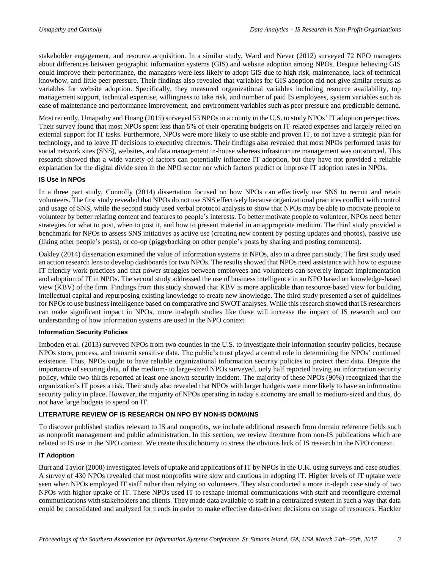stakeholder engagement, and resource acquisition. In a similar study, Ward and Never [\(2012\)](#page-6-8) surveyed 72 NPO managers about differences between geographic information systems (GIS) and website adoption among NPOs. Despite believing GIS could improve their performance, the managers were less likely to adopt GIS due to high risk, maintenance, lack of technical knowhow, and little peer pressure. Their findings also revealed that variables for GIS adoption did not give similar results as variables for website adoption. Specifically, they measured organizational variables including resource availability, top management support, technical expertise, willingness to take risk, and number of paid IS employees, system variables such as ease of maintenance and performance improvement, and environment variables such as peer pressure and predictable demand.

Most recently, Umapathy and Huang [\(2015\)](#page-6-9) surveyed 53 NPOs in a county in the U.S. to study NPOs' IT adoption perspectives. Their survey found that most NPOs spent less than 5% of their operating budgets on IT-related expenses and largely relied on external support for IT tasks. Furthermore, NPOs were more likely to use stable and proven IT, to not have a strategic plan for technology, and to leave IT decisions to executive directors. Their findings also revealed that most NPOs performed tasks for social network sites (SNS), websites, and data management in-house whereas infrastructure management was outsourced. This research showed that a wide variety of factors can potentially influence IT adoption, but they have not provided a reliable explanation for the digital divide seen in the NPO sector nor which factors predict or improve IT adoption rates in NPOs.

#### **IS Use in NPOs**

In a three part study, Connolly [\(2014\)](#page-6-10) dissertation focused on how NPOs can effectively use SNS to recruit and retain volunteers. The first study revealed that NPOs do not use SNS effectively because organizational practices conflict with control and usage of SNS, while the second study used verbal protocol analysis to show that NPOs may be able to motivate people to volunteer by better relating content and features to people's interests. To better motivate people to volunteer, NPOs need better strategies for what to post, when to post it, and how to present material in an appropriate medium. The third study provided a benchmark for NPOs to assess SNS initiatives as active use (creating new content by posting updates and photos), passive use (liking other people's posts), or co-op (piggybacking on other people's posts by sharing and posting comments).

Oakley [\(2014\)](#page-6-11) dissertation examined the value of information systems in NPOs, also in a three part study. The first study used an action research lens to develop dashboards for two NPOs. The results showed that NPOs need assistance with how to espouse IT friendly work practices and that power struggles between employees and volunteers can severely impact implementation and adoption of IT in NPOs. The second study addressed the use of business intelligence in an NPO based on knowledge-based view (KBV) of the firm. Findings from this study showed that KBV is more applicable than resource-based view for building intellectual capital and repurposing existing knowledge to create new knowledge. The third study presented a set of guidelines for NPOs to use business intelligence based on comparative and SWOT analyses. While this research showed that IS researchers can make significant impact in NPOs, more in-depth studies like these will increase the impact of IS research and our understanding of how information systems are used in the NPO context.

#### **Information Security Policies**

Imboden et al. [\(2013\)](#page-6-12) surveyed NPOs from two counties in the U.S. to investigate their information security policies, because NPOs store, process, and transmit sensitive data. The public's trust played a central role in determining the NPOs' continued existence. Thus, NPOs ought to have reliable organizational information security policies to protect their data. Despite the importance of securing data, of the medium- to large-sized NPOs surveyed, only half reported having an information security policy, while two-thirds reported at least one known security incident. The majority of these NPOs (90%) recognized that the organization's IT poses a risk. Their study also revealed that NPOs with larger budgets were more likely to have an information security policy in place. However, the majority of NPOs operating in today's economy are small to medium-sized and thus, do not have large budgets to spend on IT.

#### **LITERATURE REVIEW OF IS RESEARCH ON NPO BY NON-IS DOMAINS**

To discover published studies relevant to IS and nonprofits, we include additional research from domain reference fields such as nonprofit management and public administration. In this section, we review literature from non-IS publications which are related to IS use in the NPO context. We create this dichotomy to stress the obvious lack of IS research in the NPO context.

#### **IT Adoption**

Burt and Taylor [\(2000\)](#page-6-13) investigated levels of uptake and applications of IT by NPOs in the U.K. using surveys and case studies. A survey of 430 NPOs revealed that most nonprofits were slow and cautious in adopting IT. Higher levels of IT uptake were seen when NPOs employed IT staff rather than relying on volunteers. They also conducted a more in-depth case study of two NPOs with higher uptake of IT. These NPOs used IT to reshape internal communications with staff and reconfigure external communications with stakeholders and clients. They made data available to staff in a centralized system in such a way that data could be consolidated and analyzed for trends in order to make effective data-driven decisions on usage of resources. Hackler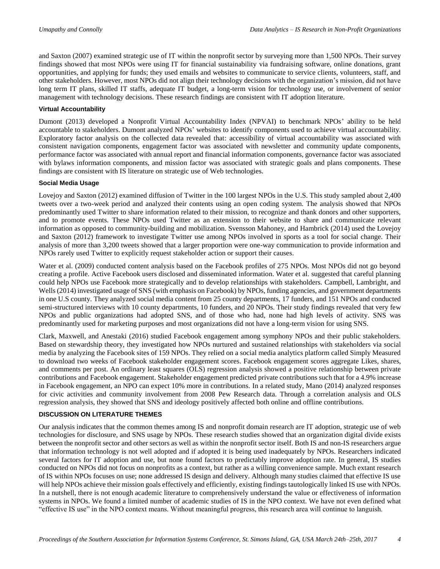and Saxton [\(2007\)](#page-6-14) examined strategic use of IT within the nonprofit sector by surveying more than 1,500 NPOs. Their survey findings showed that most NPOs were using IT for financial sustainability via fundraising software, online donations, grant opportunities, and applying for funds; they used emails and websites to communicate to service clients, volunteers, staff, and other stakeholders. However, most NPOs did not align their technology decisions with the organization's mission, did not have long term IT plans, skilled IT staffs, adequate IT budget, a long-term vision for technology use, or involvement of senior management with technology decisions. These research findings are consistent with IT adoption literature.

#### **Virtual Accountability**

Dumont [\(2013\)](#page-6-15) developed a Nonprofit Virtual Accountability Index (NPVAI) to benchmark NPOs' ability to be held accountable to stakeholders. Dumont analyzed NPOs' websites to identify components used to achieve virtual accountability. Exploratory factor analysis on the collected data revealed that: accessibility of virtual accountability was associated with consistent navigation components, engagement factor was associated with newsletter and community update components, performance factor was associated with annual report and financial information components, governance factor was associated with bylaws information components, and mission factor was associated with strategic goals and plans components. These findings are consistent with IS literature on strategic use of Web technologies.

#### **Social Media Usage**

Lovejoy and Saxton [\(2012\)](#page-6-16) examined diffusion of Twitter in the 100 largest NPOs in the U.S. This study sampled about 2.400 tweets over a two-week period and analyzed their contents using an open coding system. The analysis showed that NPOs predominantly used Twitter to share information related to their mission, to recognize and thank donors and other supporters, and to promote events. These NPOs used Twitter as an extension to their website to share and communicate relevant information as opposed to community-building and mobilization. Svensson Mahoney, and Hambrick [\(2014\)](#page-6-17) used the Lovejoy and Saxton [\(2012\)](#page-6-16) framework to investigate Twitter use among NPOs involved in sports as a tool for social change. Their analysis of more than 3,200 tweets showed that a larger proportion were one-way communication to provide information and NPOs rarely used Twitter to explicitly request stakeholder action or support their causes.

Water et al. [\(2009\)](#page-6-18) conducted content analysis based on the Facebook profiles of 275 NPOs. Most NPOs did not go beyond creating a profile. Active Facebook users disclosed and disseminated information. Water et al. suggested that careful planning could help NPOs use Facebook more strategically and to develop relationships with stakeholders. Campbell, Lambright, and Wells [\(2014\)](#page-6-19) investigated usage of SNS (with emphasis on Facebook) by NPOs, funding agencies, and government departments in one U.S county. They analyzed social media content from 25 county departments, 17 funders, and 151 NPOs and conducted semi-structured interviews with 10 county departments, 10 funders, and 20 NPOs. Their study findings revealed that very few NPOs and public organizations had adopted SNS, and of those who had, none had high levels of activity. SNS was predominantly used for marketing purposes and most organizations did not have a long-term vision for using SNS.

Clark, Maxwell, and Anestaki [\(2016\)](#page-6-20) studied Facebook engagement among symphony NPOs and their public stakeholders. Based on stewardship theory, they investigated how NPOs nurtured and sustained relationships with stakeholders via social media by analyzing the Facebook sites of 159 NPOs. They relied on a social media analytics platform called Simply Measured to download two weeks of Facebook stakeholder engagement scores. Facebook engagement scores aggregate Likes, shares, and comments per post. An ordinary least squares (OLS) regression analysis showed a positive relationship between private contributions and Facebook engagement. Stakeholder engagement predicted private contributions such that for a 4.9% increase in Facebook engagement, an NPO can expect 10% more in contributions. In a related study, Mano [\(2014\)](#page-6-21) analyzed responses for civic activities and community involvement from 2008 Pew Research data. Through a correlation analysis and OLS regression analysis, they showed that SNS and ideology positively affected both online and offline contributions.

#### **DISCUSSION ON LITERATURE THEMES**

Our analysis indicates that the common themes among IS and nonprofit domain research are IT adoption, strategic use of web technologies for disclosure, and SNS usage by NPOs. These research studies showed that an organization digital divide exists between the nonprofit sector and other sectors as well as within the nonprofit sector itself. Both IS and non-IS researchers argue that information technology is not well adopted and if adopted it is being used inadequately by NPOs. Researchers indicated several factors for IT adoption and use, but none found factors to predictably improve adoption rate. In general, IS studies conducted on NPOs did not focus on nonprofits as a context, but rather as a willing convenience sample. Much extant research of IS within NPOs focuses on use; none addressed IS design and delivery. Although many studies claimed that effective IS use will help NPOs achieve their mission goals effectively and efficiently, existing findings tautologically linked IS use with NPOs. In a nutshell, there is not enough academic literature to comprehensively understand the value or effectiveness of information systems in NPOs. We found a limited number of academic studies of IS in the NPO context. We have not even defined what "effective IS use" in the NPO context means. Without meaningful progress, this research area will continue to languish.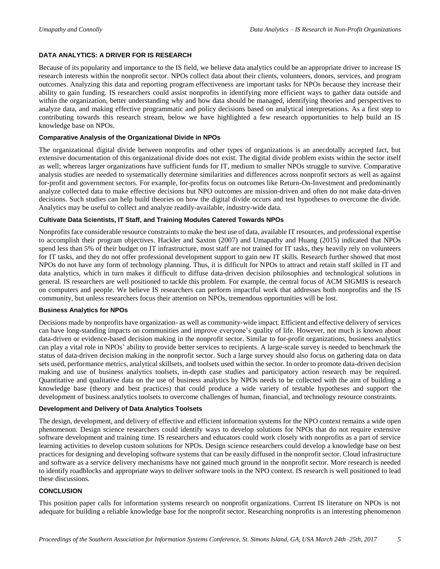#### **DATA ANALYTICS: A DRIVER FOR IS RESEARCH**

Because of its popularity and importance to the IS field, we believe data analytics could be an appropriate driver to increase IS research interests within the nonprofit sector. NPOs collect data about their clients, volunteers, donors, services, and program outcomes. Analyzing this data and reporting program effectiveness are important tasks for NPOs because they increase their ability to gain funding. IS researchers could assist nonprofits in identifying more efficient ways to gather data outside and within the organization, better understanding why and how data should be managed, identifying theories and perspectives to analyze data, and making effective programmatic and policy decisions based on analytical interpretations. As a first step to contributing towards this research stream, below we have highlighted a few research opportunities to help build an IS knowledge base on NPOs.

#### **Comparative Analysis of the Organizational Divide in NPOs**

The organizational digital divide between nonprofits and other types of organizations is an anecdotally accepted fact, but extensive documentation of this organizational divide does not exist. The digital divide problem exists within the sector itself as well; whereas larger organizations have sufficient funds for IT, medium to smaller NPOs struggle to survive. Comparative analysis studies are needed to systematically determine similarities and differences across nonprofit sectors as well as against for-profit and government sectors. For example, for-profits focus on outcomes like Return-On-Investment and predominantly analyze collected data to make effective decisions but NPO outcomes are mission-driven and often do not make data-driven decisions. Such studies can help build theories on how the digital divide occurs and test hypotheses to overcome the divide. Analytics may be useful to collect and analyze readily-available, industry-wide data.

#### **Cultivate Data Scientists, IT Staff, and Training Modules Catered Towards NPOs**

Nonprofits face considerable resource constraints to make the best use of data, available IT resources, and professional expertise to accomplish their program objectives. Hackler and Saxton [\(2007\)](#page-6-14) and Umapathy and Huang [\(2015\)](#page-6-9) indicated that NPOs spend less than 5% of their budget on IT infrastructure, most staff are not trained for IT tasks, they heavily rely on volunteers for IT tasks, and they do not offer professional development support to gain new IT skills. Research further showed that most NPOs do not have any form of technology planning. Thus, it is difficult for NPOs to attract and retain staff skilled in IT and data analytics, which in turn makes it difficult to diffuse data-driven decision philosophies and technological solutions in general. IS researchers are well positioned to tackle this problem. For example, the central focus of ACM SIGMIS is research on computers and people. We believe IS researchers can perform impactful work that addresses both nonprofits and the IS community, but unless researchers focus their attention on NPOs, tremendous opportunities will be lost.

#### **Business Analytics for NPOs**

Decisions made by nonprofits have organization- as well as community-wide impact. Efficient and effective delivery of services can have long-standing impacts on communities and improve everyone's quality of life. However, not much is known about data-driven or evidence-based decision making in the nonprofit sector. Similar to for-profit organizations, business analytics can play a vital role in NPOs' ability to provide better services to recipients. A large-scale survey is needed to benchmark the status of data-driven decision making in the nonprofit sector. Such a large survey should also focus on gathering data on data sets used, performance metrics, analytical skillsets, and toolsets used within the sector. In order to promote data-driven decision making and use of business analytics toolsets, in-depth case studies and participatory action research may be required. Quantitative and qualitative data on the use of business analytics by NPOs needs to be collected with the aim of building a knowledge base (theory and best practices) that could produce a wide variety of testable hypotheses and support the development of business analytics toolsets to overcome challenges of human, financial, and technology resource constraints.

#### **Development and Delivery of Data Analytics Toolsets**

The design, development, and delivery of effective and efficient information systems for the NPO context remains a wide open phenomenon. Design science researchers could identify ways to develop solutions for NPOs that do not require extensive software development and training time. IS researchers and educators could work closely with nonprofits as a part of service learning activities to develop custom solutions for NPOs. Design science researchers could develop a knowledge base on best practices for designing and developing software systems that can be easily diffused in the nonprofit sector. Cloud infrastructure and software as a service delivery mechanisms have not gained much ground in the nonprofit sector. More research is needed to identify roadblocks and appropriate ways to deliver software tools in the NPO context. IS research is well positioned to lead these discussions.

#### **CONCLUSION**

This position paper calls for information systems research on nonprofit organizations. Current IS literature on NPOs is not adequate for building a reliable knowledge base for the nonprofit sector. Researching nonprofits is an interesting phenomenon